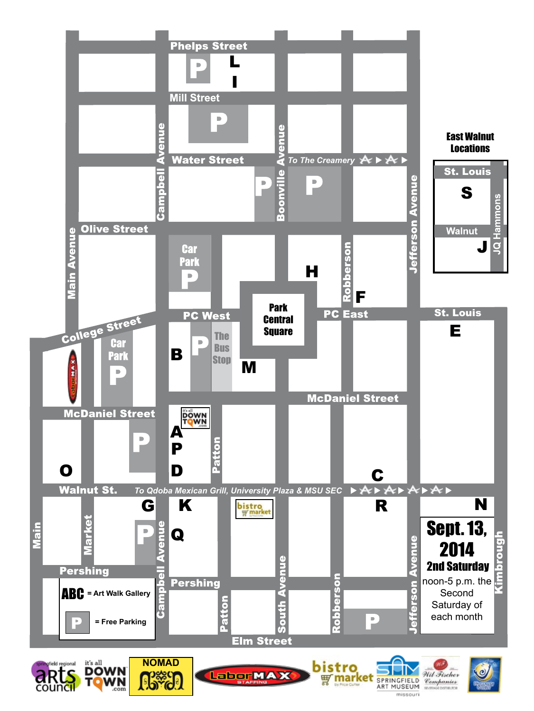